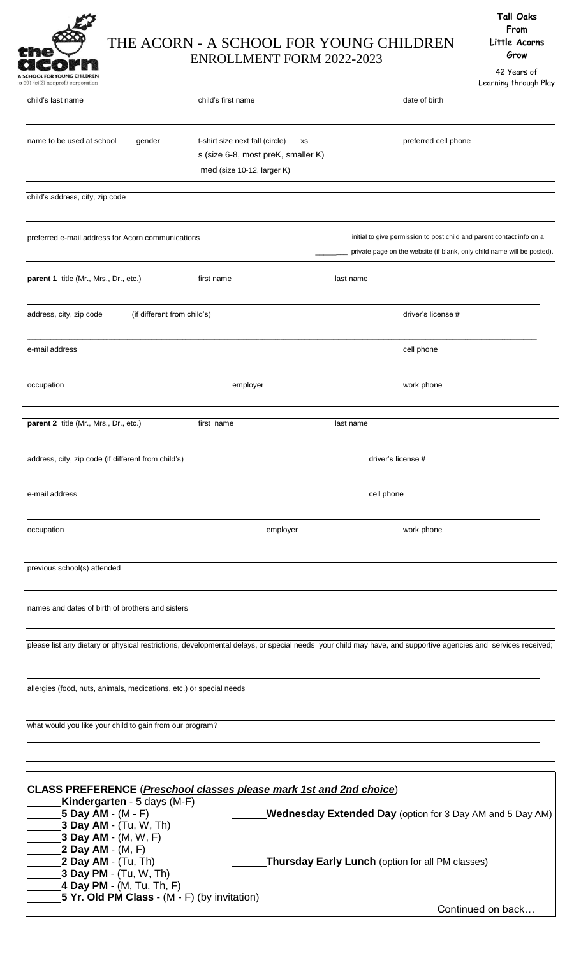

## THE ACORN - A SCHOOL FOR YOUNG CHILDREN ENROLLMENT FORM 2022-2023

**Tall Oaks From Little Acorns Grow**

42 Years of Learning through Play

Continued on back…

| child's last name                                                   | child's first name                                                                 | date of birth                                                                                                                                                |
|---------------------------------------------------------------------|------------------------------------------------------------------------------------|--------------------------------------------------------------------------------------------------------------------------------------------------------------|
|                                                                     |                                                                                    |                                                                                                                                                              |
|                                                                     |                                                                                    |                                                                                                                                                              |
| gender<br>name to be used at school                                 | t-shirt size next fall (circle)<br><b>XS</b><br>s (size 6-8, most preK, smaller K) | preferred cell phone                                                                                                                                         |
|                                                                     |                                                                                    |                                                                                                                                                              |
|                                                                     | med (size 10-12, larger K)                                                         |                                                                                                                                                              |
| child's address, city, zip code                                     |                                                                                    |                                                                                                                                                              |
|                                                                     |                                                                                    |                                                                                                                                                              |
|                                                                     |                                                                                    |                                                                                                                                                              |
| preferred e-mail address for Acorn communications                   |                                                                                    | initial to give permission to post child and parent contact info on a                                                                                        |
|                                                                     |                                                                                    | private page on the website (if blank, only child name will be posted).                                                                                      |
|                                                                     |                                                                                    |                                                                                                                                                              |
| parent 1 title (Mr., Mrs., Dr., etc.)                               | first name                                                                         | last name                                                                                                                                                    |
|                                                                     |                                                                                    |                                                                                                                                                              |
|                                                                     |                                                                                    |                                                                                                                                                              |
| (if different from child's)<br>address, city, zip code              |                                                                                    | driver's license #                                                                                                                                           |
|                                                                     |                                                                                    |                                                                                                                                                              |
| e-mail address                                                      |                                                                                    | cell phone                                                                                                                                                   |
|                                                                     |                                                                                    |                                                                                                                                                              |
|                                                                     |                                                                                    |                                                                                                                                                              |
| occupation                                                          | employer                                                                           | work phone                                                                                                                                                   |
|                                                                     |                                                                                    |                                                                                                                                                              |
| parent 2 title (Mr., Mrs., Dr., etc.)                               | first name                                                                         | last name                                                                                                                                                    |
|                                                                     |                                                                                    |                                                                                                                                                              |
|                                                                     |                                                                                    |                                                                                                                                                              |
| address, city, zip code (if different from child's)                 |                                                                                    | driver's license #                                                                                                                                           |
|                                                                     |                                                                                    |                                                                                                                                                              |
| e-mail address                                                      |                                                                                    | cell phone                                                                                                                                                   |
|                                                                     |                                                                                    |                                                                                                                                                              |
|                                                                     |                                                                                    |                                                                                                                                                              |
| occupation                                                          | employer                                                                           | work phone                                                                                                                                                   |
|                                                                     |                                                                                    |                                                                                                                                                              |
| previous school(s) attended                                         |                                                                                    |                                                                                                                                                              |
|                                                                     |                                                                                    |                                                                                                                                                              |
|                                                                     |                                                                                    |                                                                                                                                                              |
| names and dates of birth of brothers and sisters                    |                                                                                    |                                                                                                                                                              |
|                                                                     |                                                                                    |                                                                                                                                                              |
|                                                                     |                                                                                    | please list any dietary or physical restrictions, developmental delays, or special needs your child may have, and supportive agencies and services received; |
|                                                                     |                                                                                    |                                                                                                                                                              |
|                                                                     |                                                                                    |                                                                                                                                                              |
|                                                                     |                                                                                    |                                                                                                                                                              |
| allergies (food, nuts, animals, medications, etc.) or special needs |                                                                                    |                                                                                                                                                              |
|                                                                     |                                                                                    |                                                                                                                                                              |
| what would you like your child to gain from our program?            |                                                                                    |                                                                                                                                                              |
|                                                                     |                                                                                    |                                                                                                                                                              |
|                                                                     |                                                                                    |                                                                                                                                                              |
|                                                                     |                                                                                    |                                                                                                                                                              |
|                                                                     |                                                                                    |                                                                                                                                                              |
| CLASS PREFERENCE (Preschool classes please mark 1st and 2nd choice) |                                                                                    |                                                                                                                                                              |
| Kindergarten - 5 days (M-F)<br>5 Day AM - (M - F)                   |                                                                                    | <b>Wednesday Extended Day</b> (option for 3 Day AM and 5 Day AM)                                                                                             |
| 3 Day AM - (Tu, W, Th)                                              |                                                                                    |                                                                                                                                                              |
| 3 Day AM - (M, W, F)                                                |                                                                                    |                                                                                                                                                              |
| 2 Day AM - (M, F)                                                   |                                                                                    |                                                                                                                                                              |
| 2 Day AM - (Tu, Th)                                                 |                                                                                    | Thursday Early Lunch (option for all PM classes)                                                                                                             |
| 3 Day PM - (Tu, W, Th)                                              |                                                                                    |                                                                                                                                                              |
| 4 Day PM - (M, Tu, Th, F)                                           |                                                                                    |                                                                                                                                                              |
| 5 Yr. Old PM Class - (M - F) (by invitation)                        |                                                                                    |                                                                                                                                                              |